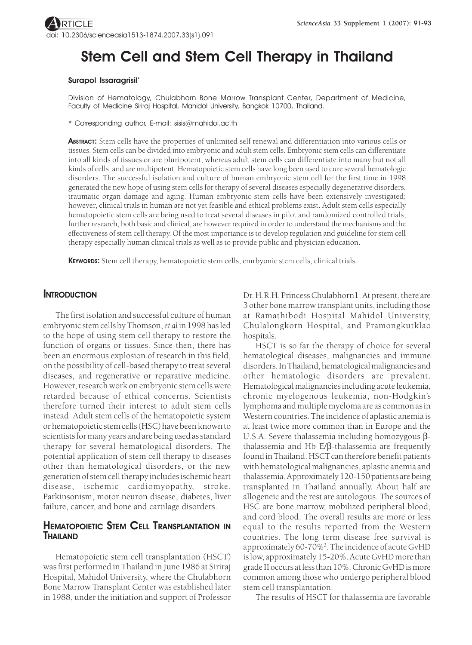# Stem Cell and Stem Cell Therapy in Thailand

#### Surapol Issaragrisil\*

Division of Hematology, Chulabhorn Bone Marrow Transplant Center, Department of Medicine, Faculty of Medicine Siriraj Hospital, Mahidol University, Bangkok 10700, Thailand.

\* Corresponding author, E-mail: sisis@mahidol.ac.th

ABSTRACT: Stem cells have the properties of unlimited self renewal and differentiation into various cells or tissues. Stem cells can be divided into embryonic and adult stem cells. Embryonic stem cells can differentiate into all kinds of tissues or are pluripotent, whereas adult stem cells can differentiate into many but not all kinds of cells, and are multipotent. Hematopoietic stem cells have long been used to cure several hematologic disorders. The successful isolation and culture of human embryonic stem cell for the first time in 1998 generated the new hope of using stem cells for therapy of several diseases especially degenerative disorders, traumatic organ damage and aging. Human embryonic stem cells have been extensively investigated; however, clinical trials in human are not yet feasible and ethical problems exist. Adult stem cells especially hematopoietic stem cells are being used to treat several diseases in pilot and randomized controlled trials; further research, both basic and clinical, are however required in order to understand the mechanisms and the effectiveness of stem cell therapy. Of the most importance is to develop regulation and guideline for stem cell therapy especially human clinical trials as well as to provide public and physician education.

KEYWORDS: Stem cell therapy, hematopoietic stem cells, emrbyonic stem cells, clinical trials.

### **INTRODUCTION**

The first isolation and successful culture of human embryonic stem cells by Thomson, *et al* in 1998 has led to the hope of using stem cell therapy to restore the function of organs or tissues. Since then, there has been an enormous explosion of research in this field, on the possibility of cell-based therapy to treat several diseases, and regenerative or reparative medicine. However, research work on embryonic stem cells were retarded because of ethical concerns. Scientists therefore turned their interest to adult stem cells instead. Adult stem cells of the hematopoietic system or hematopoietic stem cells (HSC) have been known to scientists for many years and are being used as standard therapy for several hematological disorders. The potential application of stem cell therapy to diseases other than hematological disorders, or the new generation of stem cell therapy includes ischemic heart disease, ischemic cardiomyopathy, stroke, Parkinsonism, motor neuron disease, diabetes, liver failure, cancer, and bone and cartilage disorders.

## HEMATOPOIETIC STEM CELL TRANSPLANTATION IN **THAILAND**

Hematopoietic stem cell transplantation (HSCT) was first performed in Thailand in June 1986 at Siriraj Hospital, Mahidol University, where the Chulabhorn Bone Marrow Transplant Center was established later in 1988, under the initiation and support of Professor Dr. H.R.H. Princess Chulabhorn1. At present, there are 3 other bone marrow transplant units, including those at Ramathibodi Hospital Mahidol University, Chulalongkorn Hospital, and Pramongkutklao hospitals.

HSCT is so far the therapy of choice for several hematological diseases, malignancies and immune disorders. In Thailand, hematological malignancies and other hematologic disorders are prevalent. Hematological malignancies including acute leukemia, chronic myelogenous leukemia, non-Hodgkin's lymphoma and multiple myeloma are as common as in Western countries. The incidence of aplastic anemia is at least twice more common than in Europe and the U.S.A. Severe thalassemia including homozygous βthalassemia and Hb E/β-thalassemia are frequently found in Thailand. HSCT can therefore benefit patients with hematological malignancies, aplastic anemia and thalassemia. Approximately 120-150 patients are being transplanted in Thailand annually. About half are allogeneic and the rest are autologous. The sources of HSC are bone marrow, mobilized peripheral blood, and cord blood. The overall results are more or less equal to the results reported from the Western countries. The long term disease free survival is approximately 60-70%<sup>2</sup>. The incidence of acute GvHD is low, approximately 15-20%. Acute GvHD more than grade II occurs at less than 10%. Chronic GvHD is more common among those who undergo peripheral blood stem cell transplantation.

The results of HSCT for thalassemia are favorable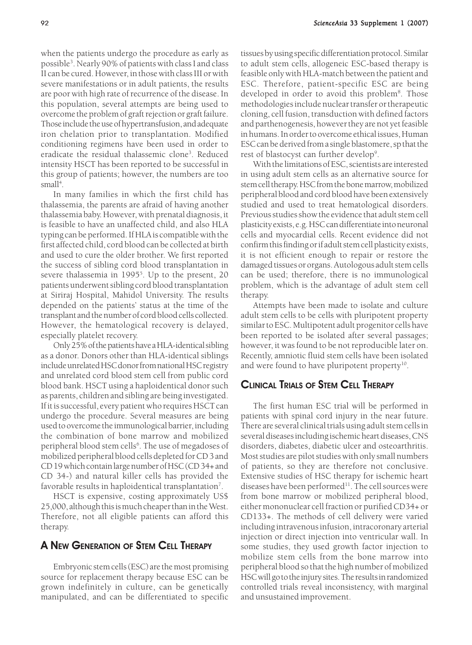when the patients undergo the procedure as early as possible3 . Nearly 90% of patients with class I and class II can be cured. However, in those with class III or with severe manifestations or in adult patients, the results are poor with high rate of recurrence of the disease. In this population, several attempts are being used to overcome the problem of graft rejection or graft failure. Those include the use of hypertransfusion, and adequate iron chelation prior to transplantation. Modified conditioning regimens have been used in order to eradicate the residual thalassemic clone<sup>3</sup>. Reduced intensity HSCT has been reported to be successful in this group of patients; however, the numbers are too small<sup>4</sup>.

In many families in which the first child has thalassemia, the parents are afraid of having another thalassemia baby. However, with prenatal diagnosis, it is feasible to have an unaffected child, and also HLA typing can be performed. If HLA is compatible with the first affected child, cord blood can be collected at birth and used to cure the older brother. We first reported the success of sibling cord blood transplantation in severe thalassemia in 1995<sup>5</sup>. Up to the present, 20 patients underwent sibling cord blood transplantation at Siriraj Hospital, Mahidol University. The results depended on the patients' status at the time of the transplant and the number of cord blood cells collected. However, the hematological recovery is delayed, especially platelet recovery.

Only 25% of the patients have a HLA-identical sibling as a donor. Donors other than HLA-identical siblings include unrelated HSC donor from national HSC registry and unrelated cord blood stem cell from public cord blood bank. HSCT using a haploidentical donor such as parents, children and sibling are being investigated. If it is successful, every patient who requires HSCT can undergo the procedure. Several measures are being used to overcome the immunological barrier, including the combination of bone marrow and mobilized peripheral blood stem cells<sup>6</sup>. The use of megadoses of mobilized peripheral blood cells depleted for CD 3 and CD 19 which contain large number of HSC (CD 34+ and CD 34-) and natural killer cells has provided the favorable results in haploidentical transplantation<sup>7</sup>.

HSCT is expensive, costing approximately US\$ 25,000, although this is much cheaper than in the West. Therefore, not all eligible patients can afford this therapy.

## A NEW GENERATION OF STEM CELL THERAPY

Embryonic stem cells (ESC) are the most promising source for replacement therapy because ESC can be grown indefinitely in culture, can be genetically manipulated, and can be differentiated to specific tissues by using specific differentiation protocol. Similar to adult stem cells, allogeneic ESC-based therapy is feasible only with HLA-match between the patient and ESC. Therefore, patient-specific ESC are being developed in order to avoid this problem<sup>8</sup>. Those methodologies include nuclear transfer or therapeutic cloning, cell fusion, transduction with defined factors and parthenogenesis, however they are not yet feasible in humans. In order to overcome ethical issues, Human ESC can be derived from a single blastomere, sp that the rest of blastocyst can further develop<sup>9</sup>.

With the limitations of ESC, scientists are interested in using adult stem cells as an alternative source for stem cell therapy. HSC from the bone marrow, mobilized peripheral blood and cord blood have been extensively studied and used to treat hematological disorders. Previous studies show the evidence that adult stem cell plasticity exists, e.g. HSC can differentiate into neuronal cells and myocardial cells. Recent evidence did not confirm this finding or if adult stem cell plasticity exists, it is not efficient enough to repair or restore the damaged tissues or organs. Autologous adult stem cells can be used; therefore, there is no immunological problem, which is the advantage of adult stem cell therapy.

Attempts have been made to isolate and culture adult stem cells to be cells with pluripotent property similar to ESC. Multipotent adult progenitor cells have been reported to be isolated after several passages; however, it was found to be not reproducible later on. Recently, amniotic fluid stem cells have been isolated and were found to have pluripotent property $10$ .

# CLINICAL TRIALS OF STEM CELL THERAPY

The first human ESC trial will be performed in patients with spinal cord injury in the near future. There are several clinical trials using adult stem cells in several diseases including ischemic heart diseases, CNS disorders, diabetes, diabetic ulcer and osteoarthritis. Most studies are pilot studies with only small numbers of patients, so they are therefore not conclusive. Extensive studies of HSC therapy for ischemic heart diseases have been performed<sup>11</sup>. The cell sources were from bone marrow or mobilized peripheral blood, either mononuclear cell fraction or purified CD34+ or CD133+. The methods of cell delivery were varied including intravenous infusion, intracoronary arterial injection or direct injection into ventricular wall. In some studies, they used growth factor injection to mobilize stem cells from the bone marrow into peripheral blood so that the high number of mobilized HSC will go to the injury sites. The results in randomized controlled trials reveal inconsistency, with marginal and unsustained improvement.